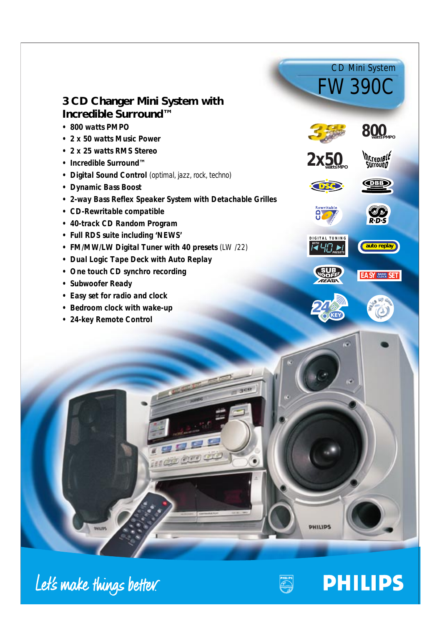# **3 CD Changer Mini System with Incredible Surround™**

- *800 watts PMPO*
- *2 x 50 watts Music Power*
- *2 x 25 watts RMS Stereo*
- *Incredible Surround™*
- *Digital Sound Control (optimal, jazz, rock, techno)*
- *Dynamic Bass Boost*
- *2-way Bass Reflex Speaker System with Detachable Grilles*
- *CD-Rewritable compatible*
- *40-track CD Random Program*
- *Full RDS suite including 'NEWS'*
- *FM/MW/LW Digital Tuner with 40 presets (LW /22)*
- *Dual Logic Tape Deck with Auto Replay*
- *One touch CD synchro recording*
- *Subwoofer Ready*
- *Easy set for radio and clock*
- *Bedroom clock with wake-up*
- *24-key Remote Control*



FW390C

CD Mini System







*2x5* **watts***0***MPO**













Let's make things better.



**PHILIPS** 

**PHILIPS** 

 $20<sub>2</sub>$ 

ag!

organization